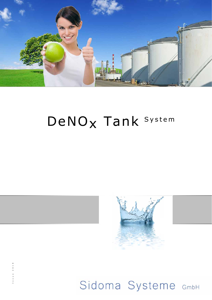

# DeNO<sub>x</sub> Tank System



Sidoma Systeme GmbH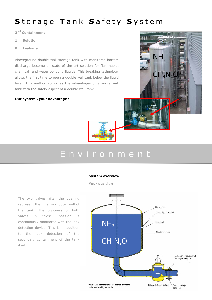### Storage Tank Safety System

2<sup>nd</sup> Containment

- 1 Solution
- 0 Leakage

Aboveground double wall storage tank with monitored bottom discharge become a state of the art solution for flammable, chemical and water polluting liquids. This breaking technology allows the first time to open a double wall tank below the liquid level. This method combines the advantages of a single wall tank with the safety aspect of a double wall tank.

#### Our system , your advantage !



# E n v i r o n m e n t

#### System overview

Your decision

The two valves after the opening represent the inner and outer wall of the tank. The tightness of both valves in "close" position is continuously monitored with the leak detection device. This is in addition to the leak detection of the secondary containment of the tank itself.



 $NH<sub>3</sub>$ 

 $CH<sub>4</sub>N<sub>2</sub>$ C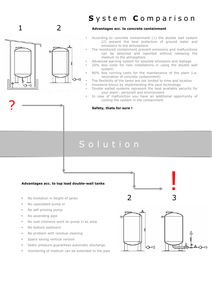### 1 2

?



### System Comparison

#### Advantages acc. to concrete containment

- According to concrete containment (1) the double wall system (2) present the best protection of ground water and emissions to the atmosphere
- The monitored containment prevent emissions and malfunctions can be detected and reported without releasing the medium to the atmosphere
	- Advanced warning system for possible emissions and leakage
- 20% less costs for new installations in using the double wall system.
- 80% less running costs for the maintenance of the plant (i.e. renovation of concrete containment)
- The flexibility of the tanks are not limited to time and location
- insurance-bonus by implementing this save technology
- Double walled systems represent the best available security for your plant , personell and environment
- In case of malfunction you have an additional opportunity of cooling the system in the containment

Safety, thats for sure !

## S o l u t i o n

#### Advantages acc. to top load double-wall tanks

- No limitation in height of tanks
- No capsulated pump or
- No self priming pump
- No ascending pipe.
- No cost intensive work on pump in ex area
- No bottom sediment
- No problem with residual cleaning
- Space saving vertical version
- Static pressure guarantees automatic discharge.
- monitoring of medium can be extended to the pipe



2 3



!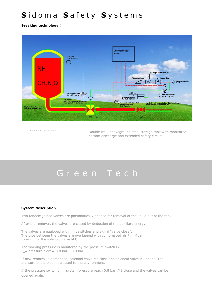# Sidoma Safety Systems

Breaking technology !



\*to be approved by authority Double wall aboveground steel storage tank with monitored bottom discharge and extended safety circuit.

# Green Tech

#### System description

Two tandem joined valves are pneumatically opened for removal of the liquid out of the tank.

After the removal, the valves are closed by deduction of the auxiliary energy.

The valves are equipped with limit switches and signal "valve close". The pipe between the valves are overlapped with compressed air  $P_1 = 4$ bar (opening of the solenoid valve M3)

The working pressure is monitored by the pressure switch  $P_{1}$ .  $P_A$ = pressure alert = 3,8 bar - 3,9 bar

If new removal is demanded, solenoid valve M3 close and solenoid valve M2 opens. The pressure in the pipe is released to the environment.

If the pressure switch  $p_s =$  system pressure reach 0,8 bar, M2 close and the valves can be opened again.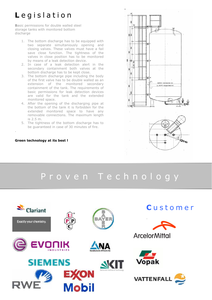# Legislation

Basic permissions for double walled steel storage tanks with monitored bottom discharge

- 1. The bottom discharge has to be equipped with two separate simultaniously opening and closing valves. These valves must have a fail save close function. The tightness of the valves in close position has to be monitored by means of a leak detection device.
- 2. In case of a leak detection alert in the secondary containment both valves at the bottom discharge has to be kept close.
- 3. The bottom discharge pipe including the body of the first valve has to be double walled as an extension of the monitored secondary containment of the tank. The requirements of basic permissions for leak detection devices are valid for the tank and the extended monitored space.
- 4. After the opening of the discharging pipe at the bottom of the tank it is forbidden for the extended monitored space to have any removable connections. The maximum length is 2.5 m.
- 5. The tightness of the bottom discharge has to be guaranteed in case of 30 minutes of fire.

#### Green technology at its best !

.



# P r o v e n T e c h n o l o g y